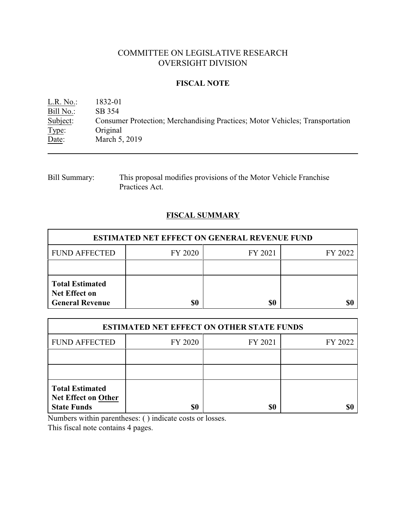# COMMITTEE ON LEGISLATIVE RESEARCH OVERSIGHT DIVISION

## **FISCAL NOTE**

L.R. No.: 1832-01 Bill No.: SB 354<br>Subject: Consum Consumer Protection; Merchandising Practices; Motor Vehicles; Transportation Type: Original Date: March 5, 2019

Bill Summary: This proposal modifies provisions of the Motor Vehicle Franchise Practices Act.

## **FISCAL SUMMARY**

| <b>ESTIMATED NET EFFECT ON GENERAL REVENUE FUND</b>                      |         |         |         |  |
|--------------------------------------------------------------------------|---------|---------|---------|--|
| <b>FUND AFFECTED</b>                                                     | FY 2020 | FY 2021 | FY 2022 |  |
|                                                                          |         |         |         |  |
| <b>Total Estimated</b><br><b>Net Effect on</b><br><b>General Revenue</b> | \$0     | \$0     |         |  |

| <b>ESTIMATED NET EFFECT ON OTHER STATE FUNDS</b>                           |         |         |         |  |
|----------------------------------------------------------------------------|---------|---------|---------|--|
| <b>FUND AFFECTED</b>                                                       | FY 2020 | FY 2021 | FY 2022 |  |
|                                                                            |         |         |         |  |
|                                                                            |         |         |         |  |
| <b>Total Estimated</b><br><b>Net Effect on Other</b><br><b>State Funds</b> | \$0     | \$0     |         |  |

Numbers within parentheses: ( ) indicate costs or losses.

This fiscal note contains 4 pages.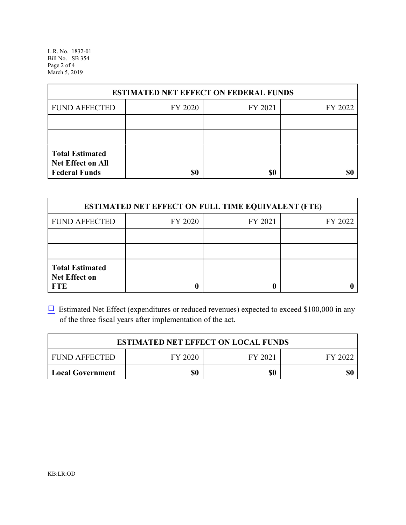L.R. No. 1832-01 Bill No. SB 354 Page 2 of 4 March 5, 2019

| <b>ESTIMATED NET EFFECT ON FEDERAL FUNDS</b>                        |         |         |         |  |
|---------------------------------------------------------------------|---------|---------|---------|--|
| <b>FUND AFFECTED</b>                                                | FY 2020 | FY 2021 | FY 2022 |  |
|                                                                     |         |         |         |  |
|                                                                     |         |         |         |  |
| <b>Total Estimated</b><br>Net Effect on All<br><b>Federal Funds</b> | \$0     | \$0     |         |  |

| <b>ESTIMATED NET EFFECT ON FULL TIME EQUIVALENT (FTE)</b>    |         |         |         |  |
|--------------------------------------------------------------|---------|---------|---------|--|
| <b>FUND AFFECTED</b>                                         | FY 2020 | FY 2021 | FY 2022 |  |
|                                                              |         |         |         |  |
|                                                              |         |         |         |  |
| <b>Total Estimated</b><br><b>Net Effect on</b><br><b>FTE</b> |         |         |         |  |

 $\Box$  Estimated Net Effect (expenditures or reduced revenues) expected to exceed \$100,000 in any of the three fiscal years after implementation of the act.

| <b>ESTIMATED NET EFFECT ON LOCAL FUNDS</b> |         |         |         |  |
|--------------------------------------------|---------|---------|---------|--|
| <b>FUND AFFECTED</b>                       | FY 2020 | FY 2021 | FY 2022 |  |
| <b>Local Government</b>                    | \$0     | \$0     | \$0     |  |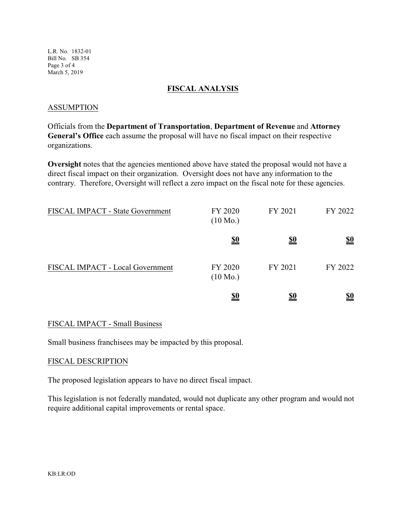L.R. No. 1832-01 Bill No. SB 354 Page 3 of 4 March 5, 2019

### **FISCAL ANALYSIS**

### ASSUMPTION

Officials from the **Department of Transportation**, **Department of Revenue** and **Attorney General's Office** each assume the proposal will have no fiscal impact on their respective organizations.

**Oversight** notes that the agencies mentioned above have stated the proposal would not have a direct fiscal impact on their organization. Oversight does not have any information to the contrary. Therefore, Oversight will reflect a zero impact on the fiscal note for these agencies.

| FISCAL IMPACT - State Government | FY 2020<br>$(10 \text{ Mo.})$ | FY 2021    | FY 2022    |
|----------------------------------|-------------------------------|------------|------------|
|                                  | <u>\$0</u>                    | <u>\$0</u> | <u>\$0</u> |
| FISCAL IMPACT - Local Government | FY 2020<br>$(10 \text{ Mo.})$ | FY 2021    | FY 2022    |
|                                  | <u>\$0</u>                    | <u>\$0</u> | <u>\$0</u> |

## FISCAL IMPACT - Small Business

Small business franchisees may be impacted by this proposal.

#### FISCAL DESCRIPTION

The proposed legislation appears to have no direct fiscal impact.

This legislation is not federally mandated, would not duplicate any other program and would not require additional capital improvements or rental space.